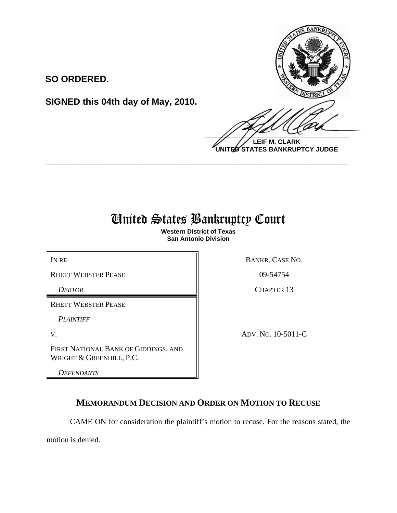

**LEIF M. CLARK UNITED STATES BANKRUPTCY JUDGE**

## United States Bankruptcy Court

**\_\_\_\_\_\_\_\_\_\_\_\_\_\_\_\_\_\_\_\_\_\_\_\_\_\_\_\_\_\_\_\_\_\_\_\_\_\_\_\_\_\_\_\_\_\_\_\_\_\_\_\_\_\_\_\_\_\_\_\_**

**Western District of Texas San Antonio Division**

RHETT WEBSTER PEASE 809-54754

**SO ORDERED.**

**SIGNED this 04th day of May, 2010.**

RHETT WEBSTER PEASE

*PLAINTIFF* 

FIRST NATIONAL BANK OF GIDDINGS, AND WRIGHT & GREENHILL, P.C.

*DEFENDANTS*

IN RE BANKR. CASE NO.

**DEBTOR** CHAPTER 13

V. ADV. NO. 10-5011-C

## **MEMORANDUM DECISION AND ORDER ON MOTION TO RECUSE**

CAME ON for consideration the plaintiff's motion to recuse. For the reasons stated, the

motion is denied.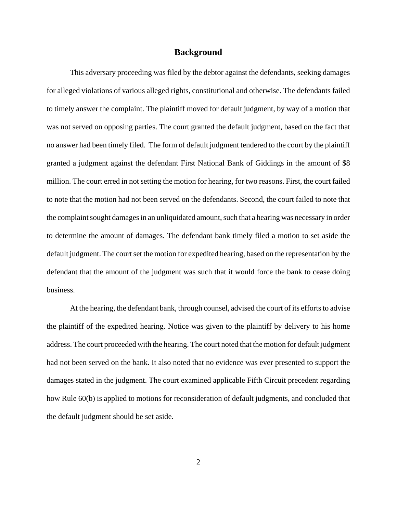## **Background**

This adversary proceeding was filed by the debtor against the defendants, seeking damages for alleged violations of various alleged rights, constitutional and otherwise. The defendants failed to timely answer the complaint. The plaintiff moved for default judgment, by way of a motion that was not served on opposing parties. The court granted the default judgment, based on the fact that no answer had been timely filed. The form of default judgment tendered to the court by the plaintiff granted a judgment against the defendant First National Bank of Giddings in the amount of \$8 million. The court erred in not setting the motion for hearing, for two reasons. First, the court failed to note that the motion had not been served on the defendants. Second, the court failed to note that the complaint sought damages in an unliquidated amount, such that a hearing was necessary in order to determine the amount of damages. The defendant bank timely filed a motion to set aside the default judgment. The court set the motion for expedited hearing, based on the representation by the defendant that the amount of the judgment was such that it would force the bank to cease doing business.

At the hearing, the defendant bank, through counsel, advised the court of its efforts to advise the plaintiff of the expedited hearing. Notice was given to the plaintiff by delivery to his home address. The court proceeded with the hearing. The court noted that the motion for default judgment had not been served on the bank. It also noted that no evidence was ever presented to support the damages stated in the judgment. The court examined applicable Fifth Circuit precedent regarding how Rule 60(b) is applied to motions for reconsideration of default judgments, and concluded that the default judgment should be set aside.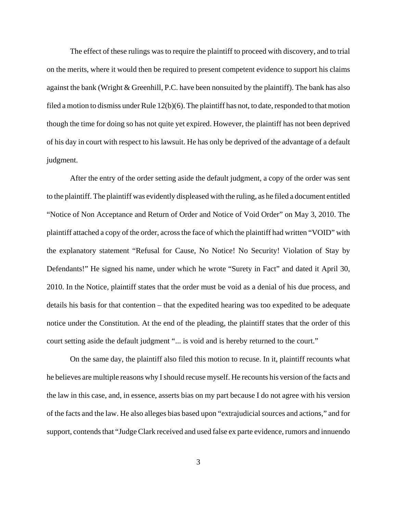The effect of these rulings was to require the plaintiff to proceed with discovery, and to trial on the merits, where it would then be required to present competent evidence to support his claims against the bank (Wright & Greenhill, P.C. have been nonsuited by the plaintiff). The bank has also filed a motion to dismiss under Rule  $12(b)(6)$ . The plaintiff has not, to date, responded to that motion though the time for doing so has not quite yet expired. However, the plaintiff has not been deprived of his day in court with respect to his lawsuit. He has only be deprived of the advantage of a default judgment.

After the entry of the order setting aside the default judgment, a copy of the order was sent to the plaintiff. The plaintiff was evidently displeased with the ruling, as he filed a document entitled "Notice of Non Acceptance and Return of Order and Notice of Void Order" on May 3, 2010. The plaintiff attached a copy of the order, across the face of which the plaintiff had written "VOID" with the explanatory statement "Refusal for Cause, No Notice! No Security! Violation of Stay by Defendants!" He signed his name, under which he wrote "Surety in Fact" and dated it April 30, 2010. In the Notice, plaintiff states that the order must be void as a denial of his due process, and details his basis for that contention – that the expedited hearing was too expedited to be adequate notice under the Constitution. At the end of the pleading, the plaintiff states that the order of this court setting aside the default judgment "... is void and is hereby returned to the court."

On the same day, the plaintiff also filed this motion to recuse. In it, plaintiff recounts what he believes are multiple reasons why I should recuse myself. He recounts his version of the facts and the law in this case, and, in essence, asserts bias on my part because I do not agree with his version of the facts and the law. He also alleges bias based upon "extrajudicial sources and actions," and for support, contends that "Judge Clark received and used false ex parte evidence, rumors and innuendo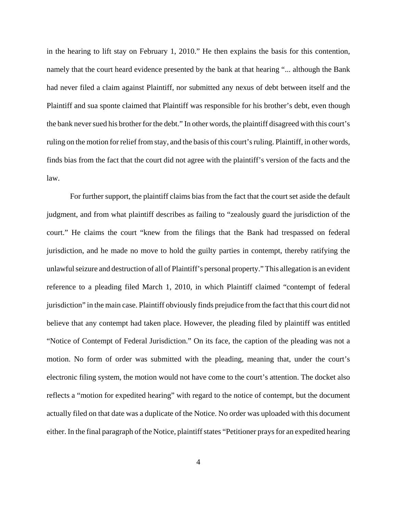in the hearing to lift stay on February 1, 2010." He then explains the basis for this contention, namely that the court heard evidence presented by the bank at that hearing "... although the Bank had never filed a claim against Plaintiff, nor submitted any nexus of debt between itself and the Plaintiff and sua sponte claimed that Plaintiff was responsible for his brother's debt, even though the bank never sued his brother for the debt." In other words, the plaintiff disagreed with this court's ruling on the motion for relief from stay, and the basis of this court's ruling. Plaintiff, in other words, finds bias from the fact that the court did not agree with the plaintiff's version of the facts and the law.

For further support, the plaintiff claims bias from the fact that the court set aside the default judgment, and from what plaintiff describes as failing to "zealously guard the jurisdiction of the court." He claims the court "knew from the filings that the Bank had trespassed on federal jurisdiction, and he made no move to hold the guilty parties in contempt, thereby ratifying the unlawful seizure and destruction of all of Plaintiff's personal property." This allegation is an evident reference to a pleading filed March 1, 2010, in which Plaintiff claimed "contempt of federal jurisdiction" in the main case. Plaintiff obviously finds prejudice from the fact that this court did not believe that any contempt had taken place. However, the pleading filed by plaintiff was entitled "Notice of Contempt of Federal Jurisdiction." On its face, the caption of the pleading was not a motion. No form of order was submitted with the pleading, meaning that, under the court's electronic filing system, the motion would not have come to the court's attention. The docket also reflects a "motion for expedited hearing" with regard to the notice of contempt, but the document actually filed on that date was a duplicate of the Notice. No order was uploaded with this document either. In the final paragraph of the Notice, plaintiff states "Petitioner prays for an expedited hearing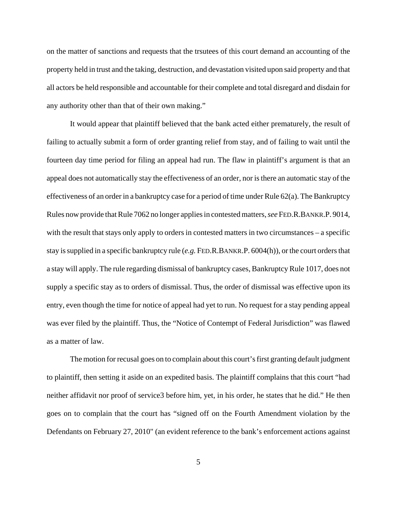on the matter of sanctions and requests that the trsutees of this court demand an accounting of the property held in trust and the taking, destruction, and devastation visited upon said property and that all actors be held responsible and accountable for their complete and total disregard and disdain for any authority other than that of their own making."

It would appear that plaintiff believed that the bank acted either prematurely, the result of failing to actually submit a form of order granting relief from stay, and of failing to wait until the fourteen day time period for filing an appeal had run. The flaw in plaintiff's argument is that an appeal does not automatically stay the effectiveness of an order, nor is there an automatic stay of the effectiveness of an order in a bankruptcy case for a period of time under Rule 62(a). The Bankruptcy Rules now provide that Rule 7062 no longer applies in contested matters, *see* FED.R.BANKR.P. 9014, with the result that stays only apply to orders in contested matters in two circumstances – a specific stay is supplied in a specific bankruptcy rule (*e.g.* FED.R.BANKR.P. 6004(h)), or the court orders that a stay will apply. The rule regarding dismissal of bankruptcy cases, Bankruptcy Rule 1017, does not supply a specific stay as to orders of dismissal. Thus, the order of dismissal was effective upon its entry, even though the time for notice of appeal had yet to run. No request for a stay pending appeal was ever filed by the plaintiff. Thus, the "Notice of Contempt of Federal Jurisdiction" was flawed as a matter of law.

The motion for recusal goes on to complain about this court's first granting default judgment to plaintiff, then setting it aside on an expedited basis. The plaintiff complains that this court "had neither affidavit nor proof of service3 before him, yet, in his order, he states that he did." He then goes on to complain that the court has "signed off on the Fourth Amendment violation by the Defendants on February 27, 2010" (an evident reference to the bank's enforcement actions against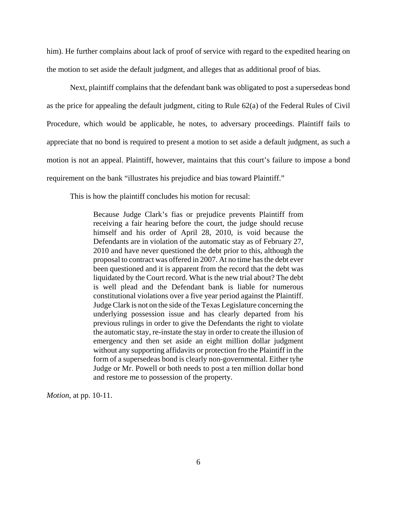him). He further complains about lack of proof of service with regard to the expedited hearing on the motion to set aside the default judgment, and alleges that as additional proof of bias.

Next, plaintiff complains that the defendant bank was obligated to post a supersedeas bond as the price for appealing the default judgment, citing to Rule 62(a) of the Federal Rules of Civil Procedure, which would be applicable, he notes, to adversary proceedings. Plaintiff fails to appreciate that no bond is required to present a motion to set aside a default judgment, as such a motion is not an appeal. Plaintiff, however, maintains that this court's failure to impose a bond requirement on the bank "illustrates his prejudice and bias toward Plaintiff."

This is how the plaintiff concludes his motion for recusal:

Because Judge Clark's fias or prejudice prevents Plaintiff from receiving a fair hearing before the court, the judge should recuse himself and his order of April 28, 2010, is void because the Defendants are in violation of the automatic stay as of February 27, 2010 and have never questioned the debt prior to this, although the proposal to contract was offered in 2007. At no time has the debt ever been questioned and it is apparent from the record that the debt was liquidated by the Court record. What is the new trial about? The debt is well plead and the Defendant bank is liable for numerous constitutional violations over a five year period against the Plaintiff. Judge Clark is not on the side of the Texas Legislature concerning the underlying possession issue and has clearly departed from his previous rulings in order to give the Defendants the right to violate the automatic stay, re-instate the stay in order to create the illusion of emergency and then set aside an eight million dollar judgment without any supporting affidavits or protection fro the Plaintiff in the form of a supersedeas bond is clearly non-governmental. Either tyhe Judge or Mr. Powell or both needs to post a ten million dollar bond and restore me to possession of the property.

*Motion*, at pp. 10-11.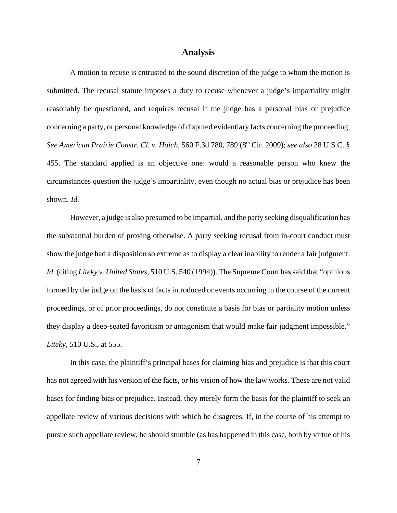## **Analysis**

A motion to recuse is entrusted to the sound discretion of the judge to whom the motion is submitted. The recusal statute imposes a duty to recuse whenever a judge's impartiality might reasonably be questioned, and requires recusal if the judge has a personal bias or prejudice concerning a party, or personal knowledge of disputed evidentiary facts concerning the proceeding. *See American Prairie Constr. Cl. v. Hoich*, 560 F.3d 780, 789 (8th Cir. 2009); *see also* 28 U.S.C. § 455. The standard applied is an objective one: would a reasonable person who knew the circumstances question the judge's impartiality, even though no actual bias or prejudice has been shown. *Id.*

However, a judge is also presumed to be impartial, and the party seeking disqualification has the substantial burden of proving otherwise. A party seeking recusal from in-court conduct must show the judge had a disposition so extreme as to display a clear inability to render a fair judgment. *Id.* (citing *Liteky v. United States*, 510 U.S. 540 (1994)). The Supreme Court has said that "opinions formed by the judge on the basis of facts introduced or events occurring in the course of the current proceedings, or of prior proceedings, do not constitute a basis for bias or partiality motion unless they display a deep-seated favoritism or antagonism that would make fair judgment impossible." *Liteky*, 510 U.S., at 555.

In this case, the plaintiff's principal bases for claiming bias and prejudice is that this court has not agreed with his version of the facts, or his vision of how the law works. These are not valid bases for finding bias or prejudice. Instead, they merely form the basis for the plaintiff to seek an appellate review of various decisions with which he disagrees. If, in the course of his attempt to pursue such appellate review, he should stumble (as has happened in this case, both by virtue of his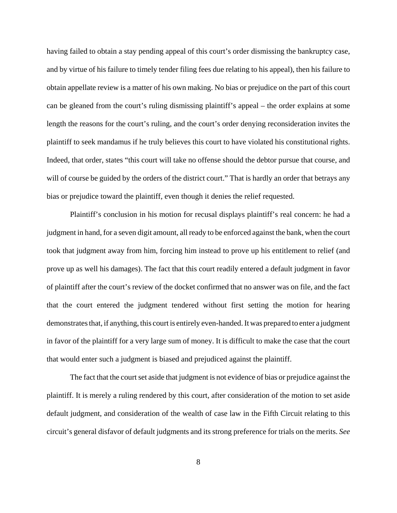having failed to obtain a stay pending appeal of this court's order dismissing the bankruptcy case, and by virtue of his failure to timely tender filing fees due relating to his appeal), then his failure to obtain appellate review is a matter of his own making. No bias or prejudice on the part of this court can be gleaned from the court's ruling dismissing plaintiff's appeal – the order explains at some length the reasons for the court's ruling, and the court's order denying reconsideration invites the plaintiff to seek mandamus if he truly believes this court to have violated his constitutional rights. Indeed, that order, states "this court will take no offense should the debtor pursue that course, and will of course be guided by the orders of the district court." That is hardly an order that betrays any bias or prejudice toward the plaintiff, even though it denies the relief requested.

Plaintiff's conclusion in his motion for recusal displays plaintiff's real concern: he had a judgment in hand, for a seven digit amount, all ready to be enforced against the bank, when the court took that judgment away from him, forcing him instead to prove up his entitlement to relief (and prove up as well his damages). The fact that this court readily entered a default judgment in favor of plaintiff after the court's review of the docket confirmed that no answer was on file, and the fact that the court entered the judgment tendered without first setting the motion for hearing demonstrates that, if anything, this court is entirely even-handed. It was prepared to enter a judgment in favor of the plaintiff for a very large sum of money. It is difficult to make the case that the court that would enter such a judgment is biased and prejudiced against the plaintiff.

The fact that the court set aside that judgment is not evidence of bias or prejudice against the plaintiff. It is merely a ruling rendered by this court, after consideration of the motion to set aside default judgment, and consideration of the wealth of case law in the Fifth Circuit relating to this circuit's general disfavor of default judgments and its strong preference for trials on the merits. *See*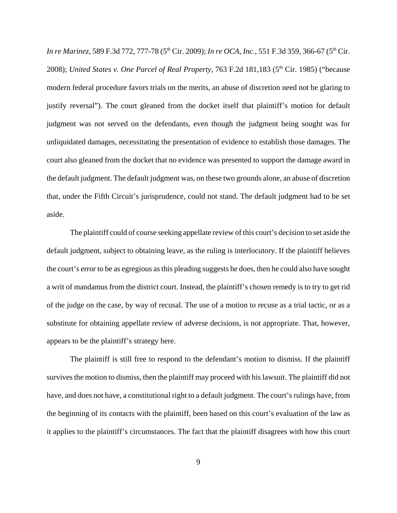*In re Marinez*, 589 F.3d 772, 777-78 (5<sup>th</sup> Cir. 2009); *In re OCA, Inc.*, 551 F.3d 359, 366-67 (5<sup>th</sup> Cir. 2008); *United States v. One Parcel of Real Property*, 763 F.2d 181,183 (5<sup>th</sup> Cir. 1985) ("because modern federal procedure favors trials on the merits, an abuse of discretion need not be glaring to justify reversal"). The court gleaned from the docket itself that plaintiff's motion for default judgment was not served on the defendants, even though the judgment being sought was for unliquidated damages, necessitating the presentation of evidence to establish those damages. The court also gleaned from the docket that no evidence was presented to support the damage award in the default judgment. The default judgment was, on these two grounds alone, an abuse of discretion that, under the Fifth Circuit's jurisprudence, could not stand. The default judgment had to be set aside.

The plaintiff could of course seeking appellate review of this court's decision to set aside the default judgment, subject to obtaining leave, as the ruling is interlocutory. If the plaintiff believes the court's error to be as egregious as this pleading suggests he does, then he could also have sought a writ of mandamus from the district court. Instead, the plaintiff's chosen remedy is to try to get rid of the judge on the case, by way of recusal. The use of a motion to recuse as a trial tactic, or as a substitute for obtaining appellate review of adverse decisions, is not appropriate. That, however, appears to be the plaintiff's strategy here.

The plaintiff is still free to respond to the defendant's motion to dismiss. If the plaintiff survives the motion to dismiss, then the plaintiff may proceed with his lawsuit. The plaintiff did not have, and does not have, a constitutional right to a default judgment. The court's rulings have, from the beginning of its contacts with the plaintiff, been based on this court's evaluation of the law as it applies to the plaintiff's circumstances. The fact that the plaintiff disagrees with how this court